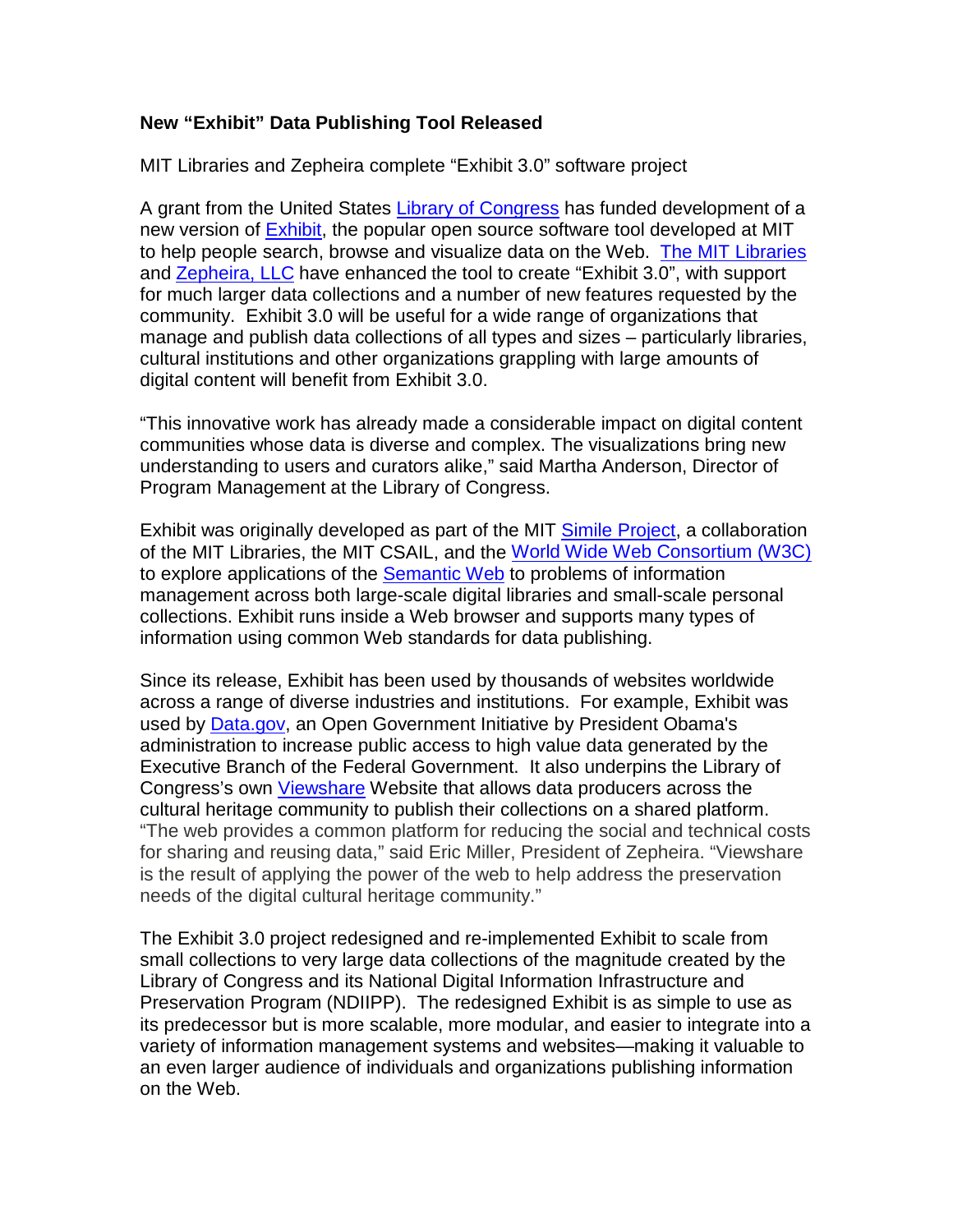## **New "Exhibit" Data Publishing Tool Released**

MIT Libraries and Zepheira complete "Exhibit 3.0" software project

A grant from the United States [Library of Congress](http://www.loc.gov/index.html) has funded development of a new version of [Exhibit,](http://simile-widgets.org/exhibit/) the popular open source software tool developed at MIT to help people search, browse and visualize data on the Web. [The MIT Libraries](http://libraries.mit.edu/) and [Zepheira, LLC](http://zepheira.com/) have enhanced the tool to create "Exhibit 3.0", with support for much larger data collections and a number of new features requested by the community. Exhibit 3.0 will be useful for a wide range of organizations that manage and publish data collections of all types and sizes – particularly libraries, cultural institutions and other organizations grappling with large amounts of digital content will benefit from Exhibit 3.0.

"This innovative work has already made a considerable impact on digital content communities whose data is diverse and complex. The visualizations bring new understanding to users and curators alike," said Martha Anderson, Director of Program Management at the Library of Congress.

Exhibit was originally developed as part of the MIT [Simile Project,](http://simile.mit.edu/) a collaboration of the MIT Libraries, the MIT CSAIL, and the [World Wide Web Consortium \(W3C\)](http://www.w3.org/) to explore applications of the [Semantic Web](http://www.w3.org/standards/semanticweb/) to problems of information management across both large-scale digital libraries and small-scale personal collections. Exhibit runs inside a Web browser and supports many types of information using common Web standards for data publishing.

Since its release, Exhibit has been used by thousands of websites worldwide across a range of diverse industries and institutions. For example, Exhibit was used by [Data.gov,](http://data.gov/) an Open Government Initiative by President Obama's administration to increase public access to high value data generated by the Executive Branch of the Federal Government. It also underpins the Library of Congress's own [Viewshare](http://viewshare.org/) Website that allows data producers across the cultural heritage community to publish their collections on a shared platform. "The web provides a common platform for reducing the social and technical costs for sharing and reusing data," said Eric Miller, President of Zepheira. "Viewshare is the result of applying the power of the web to help address the preservation needs of the digital cultural heritage community."

The Exhibit 3.0 project redesigned and re-implemented Exhibit to scale from small collections to very large data collections of the magnitude created by the Library of Congress and its National Digital Information Infrastructure and Preservation Program (NDIIPP). The redesigned Exhibit is as simple to use as its predecessor but is more scalable, more modular, and easier to integrate into a variety of information management systems and websites—making it valuable to an even larger audience of individuals and organizations publishing information on the Web.